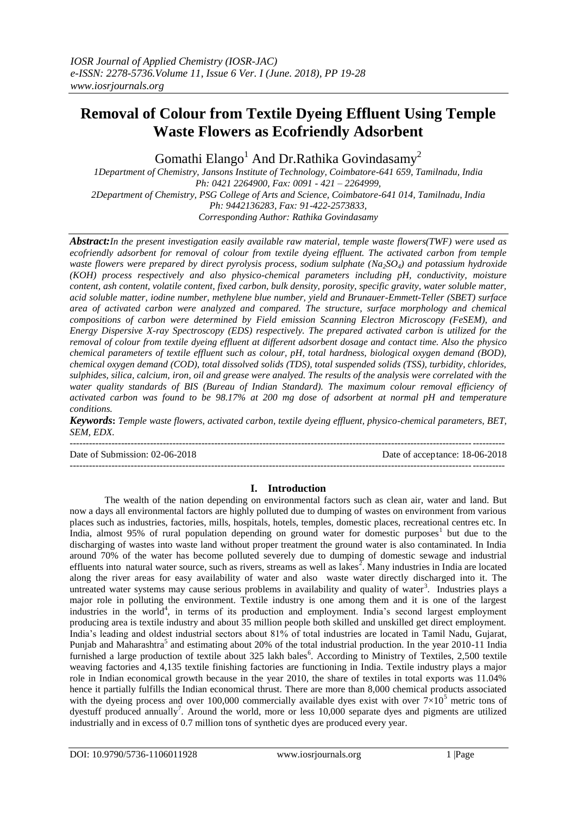# **Removal of Colour from Textile Dyeing Effluent Using Temple Waste Flowers as Ecofriendly Adsorbent**

Gomathi Elango<sup>1</sup> And Dr.Rathika Govindasamy<sup>2</sup>

*1Department of Chemistry, Jansons Institute of Technology, Coimbatore-641 659, Tamilnadu, India Ph: 0421 2264900, Fax: 0091 - 421 – 2264999, 2Department of Chemistry, PSG College of Arts and Science, Coimbatore-641 014, Tamilnadu, India Ph: 9442136283, Fax: 91-422-2573833, Corresponding Author: Rathika Govindasamy*

*Abstract:In the present investigation easily available raw material, temple waste flowers(TWF) were used as ecofriendly adsorbent for removal of colour from textile dyeing effluent. The activated carbon from temple waste flowers were prepared by direct pyrolysis process, sodium sulphate (Na2SO4) and potassium hydroxide (KOH) process respectively and also physico-chemical parameters including pH, conductivity, moisture content, ash content, volatile content, fixed carbon, bulk density, porosity, specific gravity, water soluble matter, acid soluble matter, iodine number, methylene blue number, yield and Brunauer-Emmett-Teller (SBET) surface area of activated carbon were analyzed and compared. The structure, surface morphology and chemical compositions of carbon were determined by Field emission Scanning Electron Microscopy (FeSEM), and Energy Dispersive X-ray Spectroscopy (EDS) respectively. The prepared activated carbon is utilized for the removal of colour from textile dyeing effluent at different adsorbent dosage and contact time. Also the physico chemical parameters of textile effluent such as colour, pH, total hardness, biological oxygen demand (BOD), chemical oxygen demand (COD), total dissolved solids (TDS), total suspended solids (TSS), turbidity, chlorides, sulphides, silica, calcium, iron, oil and grease were analyed. The results of the analysis were correlated with the water quality standards of BIS (Bureau of Indian Standard). The maximum colour removal efficiency of activated carbon was found to be 98.17% at 200 mg dose of adsorbent at normal pH and temperature conditions.* 

*Keywords***:** *Temple waste flowers, activated carbon, textile dyeing effluent, physico-chemical parameters, BET, SEM, EDX.*

---------------------------------------------------------------------------------------------------------------------------------------

Date of Submission: 02-06-2018 Date of acceptance: 18-06-2018 ---------------------------------------------------------------------------------------------------------------------------------------

# **I. Introduction**

The wealth of the nation depending on environmental factors such as clean air, water and land. But now a days all environmental factors are highly polluted due to dumping of wastes on environment from various places such as industries, factories, mills, hospitals, hotels, temples, domestic places, recreational centres etc. In India, almost 95% of rural population depending on ground water for domestic purposes<sup>1</sup> but due to the discharging of wastes into waste land without proper treatment the ground water is also contaminated. In India around 70% of the water has become polluted severely due to dumping of domestic sewage and industrial effluents into natural water source, such as rivers, streams as well as lakes $^2$ . Many industries in India are located along the river areas for easy availability of water and also waste water directly discharged into it. The untreated water systems may cause serious problems in availability and quality of water<sup>3</sup>. Industries plays a major role in polluting the environment. Textile industry is one among them and it is one of the largest industries in the world<sup>4</sup>, in terms of its production and employment. India's second largest employment producing area is textile industry and about 35 million people both skilled and unskilled get direct employment. India's leading and oldest industrial sectors about 81% of total industries are located in Tamil Nadu, Gujarat, Punjab and Maharashtra<sup>5</sup> and estimating about 20% of the total industrial production. In the year 2010-11 India furnished a large production of textile about 325 lakh bales<sup>6</sup>. According to Ministry of Textiles, 2,500 textile weaving factories and 4,135 textile finishing factories are functioning in India. Textile industry plays a major role in Indian economical growth because in the year 2010, the share of textiles in total exports was 11.04% hence it partially fulfills the Indian economical thrust. There are more than 8,000 chemical products associated with the dyeing process and over 100,000 commercially available dyes exist with over  $7\times10^5$  metric tons of dyestuff produced annually<sup>7</sup>. Around the world, more or less  $10,000$  separate dyes and pigments are utilized industrially and in excess of 0.7 million tons of synthetic dyes are produced every year.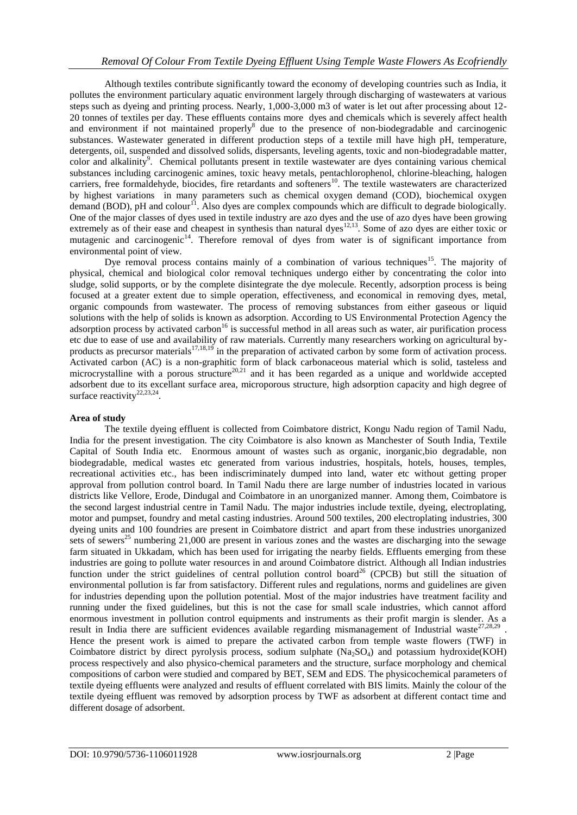Although textiles contribute significantly toward the economy of developing countries such as India, it pollutes the environment particulary aquatic environment largely through discharging of wastewaters at various steps such as dyeing and printing process. Nearly, 1,000-3,000 m3 of water is let out after processing about 12- 20 tonnes of textiles per day. These effluents contains more dyes and chemicals which is severely affect health and environment if not maintained properly<sup>8</sup> due to the presence of non-biodegradable and carcinogenic substances. Wastewater generated in different production steps of a textile mill have high pH, temperature, detergents, oil, suspended and dissolved solids, dispersants, leveling agents, toxic and non-biodegradable matter, color and alkalinity<sup>9</sup>. Chemical pollutants present in textile wastewater are dyes containing various chemical substances including carcinogenic amines, toxic heavy metals, pentachlorophenol, chlorine-bleaching, halogen carriers, free formaldehyde, biocides, fire retardants and softeners<sup>10</sup>. The textile wastewaters are characterized by highest variations in many parameters such as chemical oxygen demand (COD), biochemical oxygen demand (BOD), pH and colour<sup>11</sup>. Also dyes are complex compounds which are difficult to degrade biologically. One of the major classes of dyes used in textile industry are azo dyes and the use of azo dyes have been growing extremely as of their ease and cheapest in synthesis than natural dyes<sup>12,13</sup>. Some of azo dyes are either toxic or mutagenic and carcinogenic<sup>14</sup>. Therefore removal of dyes from water is of significant importance from environmental point of view.

Dye removal process contains mainly of a combination of various techniques<sup>15</sup>. The majority of physical, chemical and biological color removal techniques undergo either by concentrating the color into sludge, solid supports, or by the complete disintegrate the dye molecule. Recently, adsorption process is being focused at a greater extent due to simple operation, effectiveness, and economical in removing dyes, metal, organic compounds from wastewater. The process of removing substances from either gaseous or liquid solutions with the help of solids is known as adsorption. According to US Environmental Protection Agency the adsorption process by activated carbon<sup>16</sup> is successful method in all areas such as water, air purification process etc due to ease of use and availability of raw materials. Currently many researchers working on agricultural byproducts as precursor materials<sup>17,18,19</sup> in the preparation of activated carbon by some form of activation process. Activated carbon (AC) is a non-graphitic form of black carbonaceous material which is solid, tasteless and microcrystalline with a porous structure<sup>20,21</sup> and it has been regarded as a unique and worldwide accepted adsorbent due to its excellant surface area, microporous structure, high adsorption capacity and high degree of surface reactivity<sup>22,23,24</sup>.

# **Area of study**

The textile dyeing effluent is collected from Coimbatore district, Kongu Nadu region of Tamil Nadu, India for the present investigation. The city Coimbatore is also known as Manchester of South India, Textile Capital of South India etc. Enormous amount of wastes such as organic, inorganic,bio degradable, non biodegradable, medical wastes etc generated from various industries, hospitals, hotels, houses, temples, recreational activities etc., has been indiscriminately dumped into land, water etc without getting proper approval from pollution control board. In Tamil Nadu there are large number of industries located in various districts like Vellore, Erode, Dindugal and Coimbatore in an unorganized manner. Among them, Coimbatore is the second largest industrial centre in Tamil Nadu. The major industries include textile, dyeing, electroplating, motor and pumpset, foundry and metal casting industries. Around 500 textiles, 200 electroplating industries, 300 dyeing units and 100 foundries are present in Coimbatore district and apart from these industries unorganized sets of sewers<sup>25</sup> numbering 21,000 are present in various zones and the wastes are discharging into the sewage farm situated in Ukkadam, which has been used for irrigating the nearby fields. Effluents emerging from these industries are going to pollute water resources in and around Coimbatore district. Although all Indian industries function under the strict guidelines of central pollution control board<sup>26</sup> (CPCB) but still the situation of environmental pollution is far from satisfactory. Different rules and regulations, norms and guidelines are given for industries depending upon the pollution potential. Most of the major industries have treatment facility and running under the fixed guidelines, but this is not the case for small scale industries, which cannot afford enormous investment in pollution control equipments and instruments as their profit margin is slender. As a result in India there are sufficient evidences available regarding mismanagement of Industrial waste<sup>27,28,29</sup>. Hence the present work is aimed to prepare the activated carbon from temple waste flowers (TWF) in Coimbatore district by direct pyrolysis process, sodium sulphate  $(Na_2SO_4)$  and potassium hydroxide(KOH) process respectively and also physico-chemical parameters and the structure, surface morphology and chemical compositions of carbon were studied and compared by BET, SEM and EDS. The physicochemical parameters of textile dyeing effluents were analyzed and results of effluent correlated with BIS limits. Mainly the colour of the textile dyeing effluent was removed by adsorption process by TWF as adsorbent at different contact time and different dosage of adsorbent.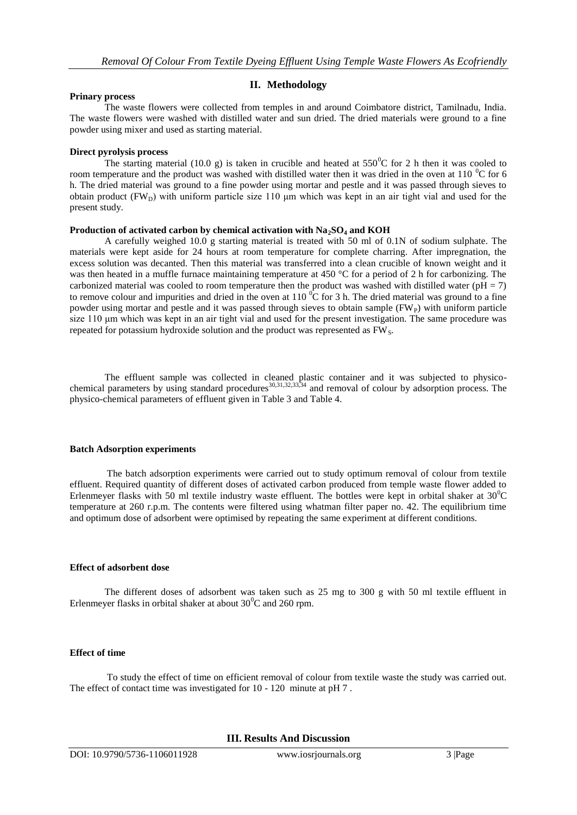# **II. Methodology**

#### **Prinary process**

The waste flowers were collected from temples in and around Coimbatore district, Tamilnadu, India. The waste flowers were washed with distilled water and sun dried. The dried materials were ground to a fine powder using mixer and used as starting material.

#### **Direct pyrolysis process**

The starting material (10.0 g) is taken in crucible and heated at  $550^{\circ}$ C for 2 h then it was cooled to room temperature and the product was washed with distilled water then it was dried in the oven at 110  $^{\circ}$ C for 6 h. The dried material was ground to a fine powder using mortar and pestle and it was passed through sieves to obtain product ( $FW<sub>D</sub>$ ) with uniform particle size 110  $\mu$ m which was kept in an air tight vial and used for the present study.

#### **Production of activated carbon by chemical activation with Na2SO<sup>4</sup> and KOH**

A carefully weighed 10.0 g starting material is treated with 50 ml of 0.1N of sodium sulphate. The materials were kept aside for 24 hours at room temperature for complete charring. After impregnation, the excess solution was decanted. Then this material was transferred into a clean crucible of known weight and it was then heated in a muffle furnace maintaining temperature at 450 °C for a period of 2 h for carbonizing. The carbonized material was cooled to room temperature then the product was washed with distilled water ( $pH = 7$ ) to remove colour and impurities and dried in the oven at  $110<sup>0</sup>C$  for 3 h. The dried material was ground to a fine powder using mortar and pestle and it was passed through sieves to obtain sample  $(FW_P)$  with uniform particle size 110 μm which was kept in an air tight vial and used for the present investigation. The same procedure was repeated for potassium hydroxide solution and the product was represented as  $FW<sub>S</sub>$ .

The effluent sample was collected in cleaned plastic container and it was subjected to physicochemical parameters by using standard procedures<sup>30,31,32,33,34</sup> and removal of colour by adsorption process. The physico-chemical parameters of effluent given in Table 3 and Table 4.

## **Batch Adsorption experiments**

The batch adsorption experiments were carried out to study optimum removal of colour from textile effluent. Required quantity of different doses of activated carbon produced from temple waste flower added to Erlenmeyer flasks with 50 ml textile industry waste effluent. The bottles were kept in orbital shaker at  $30^0C$ temperature at 260 r.p.m. The contents were filtered using whatman filter paper no. 42. The equilibrium time and optimum dose of adsorbent were optimised by repeating the same experiment at different conditions.

# **Effect of adsorbent dose**

The different doses of adsorbent was taken such as 25 mg to 300 g with 50 ml textile effluent in Erlenmeyer flasks in orbital shaker at about  $30^0C$  and  $260$  rpm.

# **Effect of time**

To study the effect of time on efficient removal of colour from textile waste the study was carried out. The effect of contact time was investigated for 10 - 120 minute at pH 7 .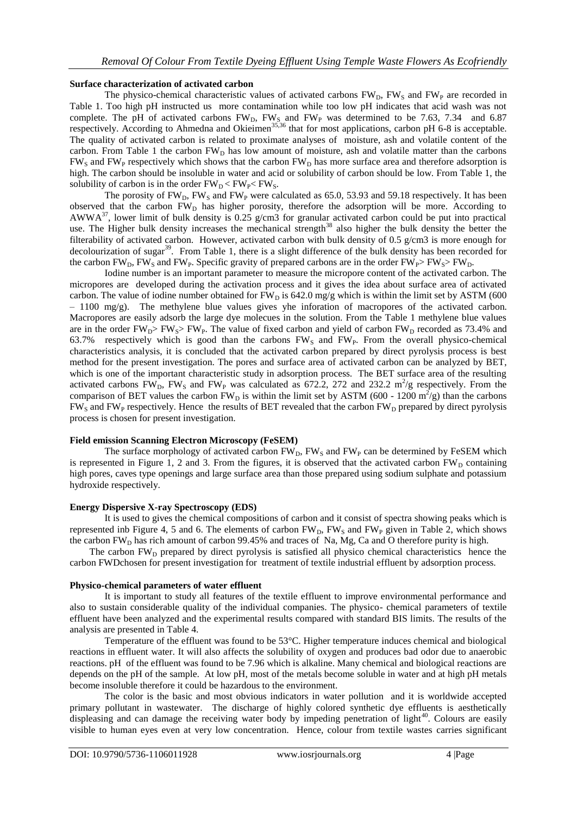# **Surface characterization of activated carbon**

The physico-chemical characteristic values of activated carbons  $FW<sub>D</sub>$ ,  $FW<sub>S</sub>$  and  $FW<sub>P</sub>$  are recorded in Table 1. Too high pH instructed us more contamination while too low pH indicates that acid wash was not complete. The pH of activated carbons  $FW<sub>D</sub>$ ,  $FW<sub>S</sub>$  and  $FW<sub>P</sub>$  was determined to be 7.63, 7.34 and 6.87 respectively. According to Ahmedna and Okieimen<sup>35,36</sup> that for most applications, carbon pH 6-8 is acceptable. The quality of activated carbon is related to proximate analyses of moisture, ash and volatile content of the carbon. From Table 1 the carbon FW<sub>D</sub> has low amount of moisture, ash and volatile matter than the carbons  $FW<sub>S</sub>$  and  $FW<sub>P</sub>$  respectively which shows that the carbon  $FW<sub>D</sub>$  has more surface area and therefore adsorption is high. The carbon should be insoluble in water and acid or solubility of carbon should be low. From Table 1, the solubility of carbon is in the order  $FW_{D}$  <  $FW_{P}$  <  $FW_{S}$ .

The porosity of  $FW<sub>D</sub>$ ,  $FW<sub>S</sub>$  and  $FW<sub>P</sub>$  were calculated as 65.0, 53.93 and 59.18 respectively. It has been observed that the carbon  $FW<sub>D</sub>$  has higher porosity, therefore the adsorption will be more. According to AWWA<sup>37</sup>, lower limit of bulk density is 0.25 g/cm3 for granular activated carbon could be put into practical use. The Higher bulk density increases the mechanical strength<sup>38</sup> also higher the bulk density the better the filterability of activated carbon. However, activated carbon with bulk density of 0.5 g/cm3 is more enough for decolourization of sugar<sup>39</sup>. From Table 1, there is a slight difference of the bulk density has been recorded for the carbon FW<sub>D</sub>, FW<sub>S</sub> and FW<sub>P</sub>. Specific gravity of prepared carbons are in the order FW<sub>P</sub>> FW<sub>S</sub>> FW<sub>D</sub>.

Iodine number is an important parameter to measure the micropore content of the activated carbon. The micropores are developed during the activation process and it gives the idea about surface area of activated carbon. The value of iodine number obtained for  $FW<sub>D</sub>$  is 642.0 mg/g which is within the limit set by ASTM (600)  $-1100 \text{ mg/g}$ . The methylene blue values gives yhe inforation of macropores of the activated carbon. Macropores are easily adsorb the large dye molecues in the solution. From the Table 1 methylene blue values are in the order  $FW_{D}$ >  $FW_{S}$ >  $FW_{P}$ . The value of fixed carbon and yield of carbon  $FW_{D}$  recorded as 73.4% and 63.7% respectively which is good than the carbons  $FW<sub>S</sub>$  and  $FW<sub>P</sub>$ . From the overall physico-chemical characteristics analysis, it is concluded that the activated carbon prepared by direct pyrolysis process is best method for the present investigation. The pores and surface area of activated carbon can be analyzed by BET, which is one of the important characteristic study in adsorption process. The BET surface area of the resulting activated carbons  $FW<sub>D</sub>$ ,  $FW<sub>S</sub>$  and  $FW<sub>P</sub>$  was calculated as 672.2, 272 and 232.2 m<sup>2</sup>/g respectively. From the comparison of BET values the carbon  $FW<sub>D</sub>$  is within the limit set by ASTM (600 - 1200 m<sup>2</sup>/g) than the carbons  $FW<sub>S</sub>$  and  $FW<sub>P</sub>$  respectively. Hence the results of BET revealed that the carbon  $FW<sub>D</sub>$  prepared by direct pyrolysis process is chosen for present investigation.

# **Field emission Scanning Electron Microscopy (FeSEM)**

The surface morphology of activated carbon  $FW<sub>D</sub>$ ,  $FW<sub>S</sub>$  and  $FW<sub>P</sub>$  can be determined by FeSEM which is represented in Figure 1, 2 and 3. From the figures, it is observed that the activated carbon  $FW<sub>D</sub>$  containing high pores, caves type openings and large surface area than those prepared using sodium sulphate and potassium hydroxide respectively.

# **Energy Dispersive X-ray Spectroscopy (EDS)**

It is used to gives the chemical compositions of carbon and it consist of spectra showing peaks which is represented inb Figure 4, 5 and 6. The elements of carbon FW<sub>D</sub>, FW<sub>S</sub> and FW<sub>P</sub> given in Table 2, which shows the carbon  $FW<sub>D</sub>$  has rich amount of carbon 99.45% and traces of Na, Mg, Ca and O therefore purity is high.

The carbon FW<sub>D</sub> prepared by direct pyrolysis is satisfied all physico chemical characteristics hence the carbon FWDchosen for present investigation for treatment of textile industrial effluent by adsorption process.

# **Physico-chemical parameters of water effluent**

It is important to study all features of the textile effluent to improve environmental performance and also to sustain considerable quality of the individual companies. The physico- chemical parameters of textile effluent have been analyzed and the experimental results compared with standard BIS limits. The results of the analysis are presented in Table 4.

Temperature of the effluent was found to be 53°C. Higher temperature induces chemical and biological reactions in effluent water. It will also affects the solubility of oxygen and produces bad odor due to anaerobic reactions. pH of the effluent was found to be 7.96 which is alkaline. Many chemical and biological reactions are depends on the pH of the sample. At low pH, most of the metals become soluble in water and at high pH metals become insoluble therefore it could be hazardous to the environment.

The color is the basic and most obvious indicators in water pollution and it is worldwide accepted primary pollutant in wastewater. The discharge of highly colored synthetic dye effluents is aesthetically displeasing and can damage the receiving water body by impeding penetration of light<sup>40</sup>. Colours are easily visible to human eyes even at very low concentration. Hence, colour from textile wastes carries significant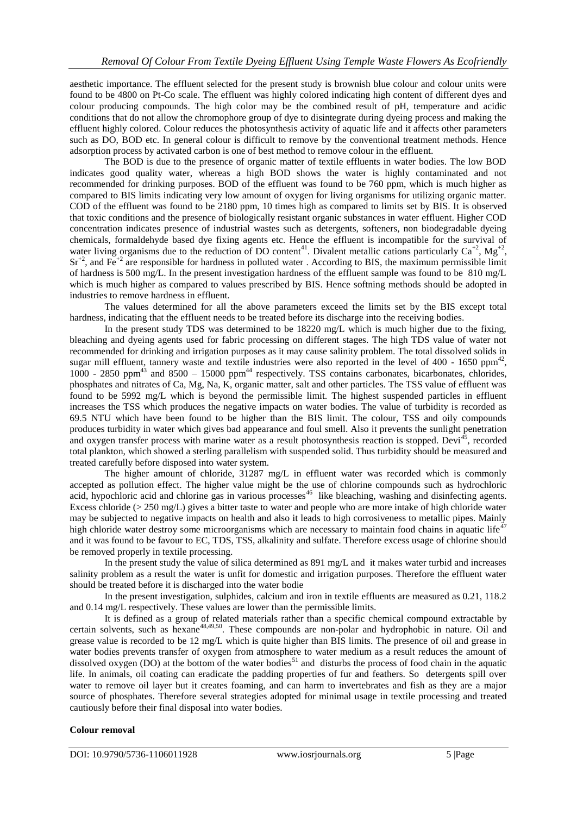aesthetic importance. The effluent selected for the present study is brownish blue colour and colour units were found to be 4800 on Pt-Co scale. The effluent was highly colored indicating high content of different dyes and colour producing compounds. The high color may be the combined result of pH, temperature and acidic conditions that do not allow the chromophore group of dye to disintegrate during dyeing process and making the effluent highly colored. Colour reduces the photosynthesis activity of aquatic life and it affects other parameters such as DO, BOD etc. In general colour is difficult to remove by the conventional treatment methods. Hence adsorption process by activated carbon is one of best method to remove colour in the effluent.

The BOD is due to the presence of organic matter of textile effluents in water bodies. The low BOD indicates good quality water, whereas a high BOD shows the water is highly contaminated and not recommended for drinking purposes. BOD of the effluent was found to be 760 ppm, which is much higher as compared to BIS limits indicating very low amount of oxygen for living organisms for utilizing organic matter. COD of the effluent was found to be 2180 ppm, 10 times high as compared to limits set by BIS. It is observed that toxic conditions and the presence of biologically resistant organic substances in water effluent. Higher COD concentration indicates presence of industrial wastes such as detergents, softeners, non biodegradable dyeing chemicals, formaldehyde based dye fixing agents etc. Hence the effluent is incompatible for the survival of water living organisms due to the reduction of DO content<sup>41</sup>. Divalent metallic cations particularly  $Ca^{+2}$ ,  $Mg^{+2}$ ,  $Sr^{+2}$ , and  $Fe^{+2}$  are responsible for hardness in polluted water . According to BIS, the maximum permissible limit of hardness is 500 mg/L. In the present investigation hardness of the effluent sample was found to be 810 mg/L which is much higher as compared to values prescribed by BIS. Hence softning methods should be adopted in industries to remove hardness in effluent.

The values determined for all the above parameters exceed the limits set by the BIS except total hardness, indicating that the effluent needs to be treated before its discharge into the receiving bodies.

In the present study TDS was determined to be 18220 mg/L which is much higher due to the fixing, bleaching and dyeing agents used for fabric processing on different stages. The high TDS value of water not recommended for drinking and irrigation purposes as it may cause salinity problem. The total dissolved solids in sugar mill effluent, tannery waste and textile industries were also reported in the level of 400 - 1650 ppm<sup>42</sup>, 1000 - 2850 ppm<sup>43</sup> and 8500 - 15000 ppm<sup>44</sup> respectively. TSS contains carbonates, bicarbonates, chlorides, phosphates and nitrates of Ca, Mg, Na, K, organic matter, salt and other particles. The TSS value of effluent was found to be 5992 mg/L which is beyond the permissible limit. The highest suspended particles in effluent increases the TSS which produces the negative impacts on water bodies. The value of turbidity is recorded as 69.5 NTU which have been found to be higher than the BIS limit. The colour, TSS and oily compounds produces turbidity in water which gives bad appearance and foul smell. Also it prevents the sunlight penetration and oxygen transfer process with marine water as a result photosynthesis reaction is stopped. Devi<sup>45</sup>, recorded total plankton, which showed a sterling parallelism with suspended solid. Thus turbidity should be measured and treated carefully before disposed into water system.

The higher amount of chloride, 31287 mg/L in effluent water was recorded which is commonly accepted as pollution effect. The higher value might be the use of chlorine compounds such as hydrochloric acid, hypochloric acid and chlorine gas in various processes<sup>46</sup> like bleaching, washing and disinfecting agents. Excess chloride (> 250 mg/L) gives a bitter taste to water and people who are more intake of high chloride water may be subjected to negative impacts on health and also it leads to high corrosiveness to metallic pipes. Mainly high chloride water destroy some microorganisms which are necessary to maintain food chains in aquatic life<sup>4</sup> and it was found to be favour to EC, TDS, TSS, alkalinity and sulfate. Therefore excess usage of chlorine should be removed properly in textile processing.

In the present study the value of silica determined as 891 mg/L and it makes water turbid and increases salinity problem as a result the water is unfit for domestic and irrigation purposes. Therefore the effluent water should be treated before it is discharged into the water bodie

In the present investigation, sulphides, calcium and iron in textile effluents are measured as 0.21, 118.2 and 0.14 mg/L respectively. These values are lower than the permissible limits.

It is defined as a group of related materials rather than a specific chemical compound extractable by certain solvents, such as hexane<sup>48,49,50</sup>. These compounds are non-polar and hydrophobic in nature. Oil and grease value is recorded to be 12 mg/L which is quite higher than BIS limits. The presence of oil and grease in water bodies prevents transfer of oxygen from atmosphere to water medium as a result reduces the amount of dissolved oxygen (DO) at the bottom of the water bodies<sup>51</sup> and disturbs the process of food chain in the aquatic life. In animals, oil coating can eradicate the padding properties of fur and feathers. So detergents spill over water to remove oil layer but it creates foaming, and can harm to invertebrates and fish as they are a major source of phosphates. Therefore several strategies adopted for minimal usage in textile processing and treated cautiously before their final disposal into water bodies.

# **Colour removal**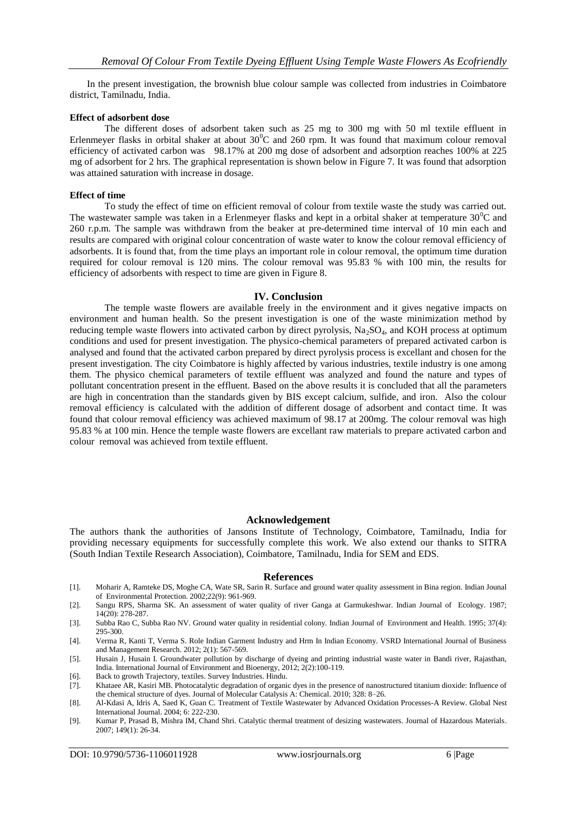In the present investigation, the brownish blue colour sample was collected from industries in Coimbatore district, Tamilnadu, India.

#### **Effect of adsorbent dose**

The different doses of adsorbent taken such as 25 mg to 300 mg with 50 ml textile effluent in Erlenmeyer flasks in orbital shaker at about  $30^{\circ}$ C and  $260$  rpm. It was found that maximum colour removal efficiency of activated carbon was 98.17% at 200 mg dose of adsorbent and adsorption reaches 100% at 225 mg of adsorbent for 2 hrs. The graphical representation is shown below in Figure 7. It was found that adsorption was attained saturation with increase in dosage.

#### **Effect of time**

To study the effect of time on efficient removal of colour from textile waste the study was carried out. The wastewater sample was taken in a Erlenmeyer flasks and kept in a orbital shaker at temperature  $30^{\circ}$ C and 260 r.p.m. The sample was withdrawn from the beaker at pre-determined time interval of 10 min each and results are compared with original colour concentration of waste water to know the colour removal efficiency of adsorbents. It is found that, from the time plays an important role in colour removal, the optimum time duration required for colour removal is 120 mins. The colour removal was 95.83 % with 100 min, the results for efficiency of adsorbents with respect to time are given in Figure 8.

#### **IV. Conclusion**

The temple waste flowers are available freely in the environment and it gives negative impacts on environment and human health. So the present investigation is one of the waste minimization method by reducing temple waste flowers into activated carbon by direct pyrolysis,  $Na<sub>2</sub>SO<sub>4</sub>$ , and KOH process at optimum conditions and used for present investigation. The physico-chemical parameters of prepared activated carbon is analysed and found that the activated carbon prepared by direct pyrolysis process is excellant and chosen for the present investigation. The city Coimbatore is highly affected by various industries, textile industry is one among them. The physico chemical parameters of textile effluent was analyzed and found the nature and types of pollutant concentration present in the effluent. Based on the above results it is concluded that all the parameters are high in concentration than the standards given by BIS except calcium, sulfide, and iron. Also the colour removal efficiency is calculated with the addition of different dosage of adsorbent and contact time. It was found that colour removal efficiency was achieved maximum of 98.17 at 200mg. The colour removal was high 95.83 % at 100 min. Hence the temple waste flowers are excellant raw materials to prepare activated carbon and colour removal was achieved from textile effluent.

#### **Acknowledgement**

The authors thank the authorities of Jansons Institute of Technology, Coimbatore, Tamilnadu, India for providing necessary equipments for successfully complete this work. We also extend our thanks to SITRA (South Indian Textile Research Association), Coimbatore, Tamilnadu, India for SEM and EDS.

#### **References**

- [1]. Moharir A, Ramteke DS, Moghe CA, Wate SR, Sarin R. Surface and ground water quality assessment in Bina region. Indian Jounal of Environmental Protection. 2002;22(9): 961-969.
- [2]. Sangu RPS, Sharma SK. An assessment of water quality of river Ganga at Garmukeshwar. Indian Journal of Ecology. 1987; 14(20): 278-287.
- [3]. Subba Rao C, Subba Rao NV. Ground water quality in residential colony. Indian Journal of Environment and Health. 1995; 37(4): 295-300.
- [4]. Verma R, Kanti T, Verma S. Role Indian Garment Industry and Hrm In Indian Economy. VSRD International Journal of Business and Management Research. 2012; 2(1): 567-569.
- [5]. Husain J, Husain I. Groundwater pollution by discharge of dyeing and printing industrial waste water in Bandi river, Rajasthan, India. International Journal of Environment and Bioenergy, 2012; 2(2):100-119.
- [6]. Back to growth Trajectory, textiles. Survey Industries. Hindu.
- [7]. Khataee AR, Kasiri MB. Photocatalytic degradation of organic dyes in the presence of nanostructured titanium dioxide: Influence of the chemical structure of dyes. Journal of Molecular Catalysis A: Chemical. 2010; 328: 8–26.
- [8]. Al-Kdasi A, Idris A, Saed K, Guan C. Treatment of Textile Wastewater by Advanced Oxidation Processes-A Review. Global Nest International Journal. 2004; 6: 222-230.
- [9]. Kumar P, Prasad B, Mishra IM, Chand Shri. Catalytic thermal treatment of desizing wastewaters. Journal of Hazardous Materials. 2007; 149(1): 26-34.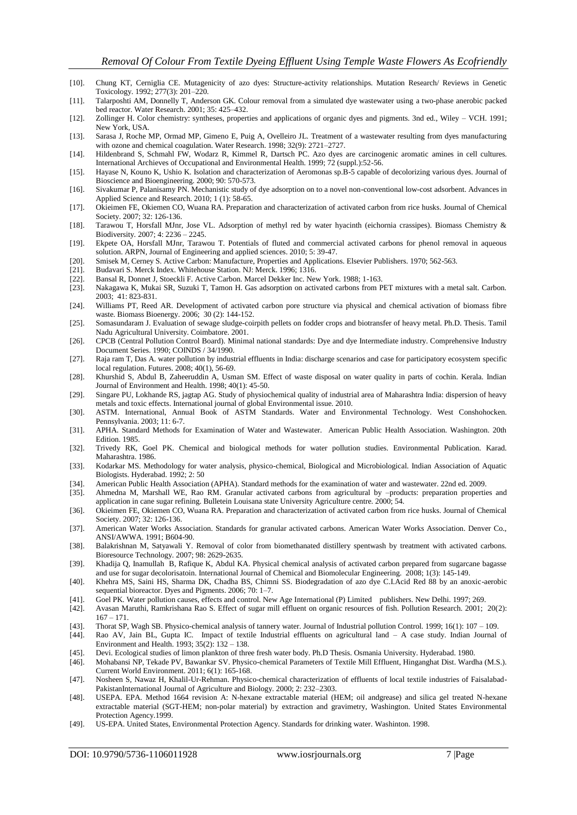- [10]. Chung KT, Cerniglia CE. Mutagenicity of azo dyes: Structure-activity relationships. Mutation Research/ Reviews in Genetic Toxicology. 1992; 277(3): 201–220.
- [11]. Talarposhti AM, Donnelly T, Anderson GK. Colour removal from a simulated dye wastewater using a two-phase anerobic packed bed reactor. Water Research. 2001; 35: 425–432.
- [12]. Zollinger H. Color chemistry: syntheses, properties and applications of organic dyes and pigments. 3nd ed., Wiley VCH. 1991; New York, USA.
- [13]. Sarasa J, Roche MP, Ormad MP, Gimeno E, Puig A, Ovelleiro JL. Treatment of a wastewater resulting from dyes manufacturing with ozone and chemical coagulation. Water Research. 1998; 32(9): 2721–2727.
- [14]. Hildenbrand S, Schmahl FW, Wodarz R, Kimmel R, Dartsch PC. Azo dyes are carcinogenic aromatic amines in cell cultures. International Archieves of Occupational and Environmental Health. 1999; 72 (suppl.):52-56.
- [15]. Hayase N, Kouno K, Ushio K. Isolation and characterization of Aeromonas sp.B-5 capable of decolorizing various dyes. Journal of Bioscience and Bioengineering. 2000; 90: 570-573.
- [16]. Sivakumar P, Palanisamy PN. Mechanistic study of dye adsorption on to a novel non-conventional low-cost adsorbent. Advances in Applied Science and Research. 2010; 1 (1): 58-65.
- [17]. Okieimen FE, Okiemen CO, Wuana RA. Preparation and characterization of activated carbon from rice husks. Journal of Chemical Society. 2007; 32: 126-136.
- [18]. Tarawou T, Horsfall MJnr, Jose VL. Adsorption of methyl red by water hyacinth (eichornia crassipes). Biomass Chemistry & Biodiversity*.* 2007; 4: 2236 – 2245.
- [19]. Ekpete OA, Horsfall MJnr, Tarawou T. Potentials of fluted and commercial activated carbons for phenol removal in aqueous solution. ARPN, Journal of Engineering and applied sciences. 2010; 5: 39-47.
- [20]. Smisek M, Cerney S. Active Carbon: Manufacture, Properties and Applications. Elsevier Publishers. 1970; 562-563.
- [21]. Budavari S. Merck Index. Whitehouse Station. NJ: Merck. 1996; 1316.
- [22]. Bansal R, Donnet J, Stoeckli F. Active Carbon. Marcel Dekker Inc. New York. 1988; 1-163.
- [23]. Nakagawa K, Mukai SR, Suzuki T, Tamon H. Gas adsorption on activated carbons from PET mixtures with a metal salt. Carbon. 2003; 41: 823-831.
- [24]. Williams PT, Reed AR. Development of activated carbon pore structure via physical and chemical activation of biomass fibre waste. Biomass Bioenergy. 2006; 30 (2): 144-152.
- [25]. Somasundaram J. Evaluation of sewage sludge-coirpith pellets on fodder crops and biotransfer of heavy metal. Ph.D. Thesis. Tamil Nadu Agricultural University. Coimbatore. 2001.
- [26]. CPCB (Central Pollution Control Board). Minimal national standards: Dye and dye Intermediate industry. Comprehensive Industry Document Series. 1990; COINDS / 34/1990.
- [27]. Raja ram T, Das A. water pollution by industrial effluents in India: discharge scenarios and case for participatory ecosystem specific local regulation. Futures. 2008; 40(1), 56-69.
- [28]. Khurshid S, Abdul B, Zaheeruddin A, Usman SM. Effect of waste disposal on water quality in parts of cochin. Kerala. Indian Journal of Environment and Health. 1998; 40(1): 45-50.
- [29]. Singare PU, Lokhande RS, jagtap AG. Study of physiochemical quality of industrial area of Maharashtra India: dispersion of heavy metals and toxic effects. International journal of global Environmental issue. 2010.
- [30]. ASTM. International, Annual Book of ASTM Standards. Water and Environmental Technology. West Conshohocken. Pennsylvania. 2003; 11: 6-7.
- [31]. APHA. Standard Methods for Examination of Water and Wastewater. American Public Health Association. Washington. 20th Edition. 1985.
- [32]. Trivedy RK, Goel PK. Chemical and biological methods for water pollution studies. Environmental Publication. Karad. Maharashtra. 1986.
- [33]. Kodarkar MS. Methodology for water analysis, physico-chemical, Biological and Microbiological. Indian Association of Aquatic Biologists. Hyderabad. 1992; 2: 50
- [34]. American Public Health Association (APHA). Standard methods for the examination of water and wastewater. 22nd ed. 2009.
- [35]. Ahmedna M, Marshall WE, Rao RM. Granular activated carbons from agricultural by –products: preparation properties and application in cane sugar refining. Bulletein Louisana state University Agriculture centre. 2000; 54.
- [36]. Okieimen FE, Okiemen CO, Wuana RA. Preparation and characterization of activated carbon from rice husks. Journal of Chemical Society. 2007; 32: 126-136.
- [37]. American Water Works Association. Standards for granular activated carbons. American Water Works Association. Denver Co., ANSI/AWWA. 1991; B604-90.
- [38]. Balakrishnan M, Satyawali Y. Removal of color from biomethanated distillery spentwash by treatment with activated carbons. Bioresource Technology. 2007; 98: 2629-2635.
- [39]. Khadija Q, Inamullah B, Rafique K, Abdul KA. Physical chemical analysis of activated carbon prepared from sugarcane bagasse and use for sugar decolorisatoin. International Journal of Chemical and Biomolecular Engineering. 2008; 1(3): 145-149.
- [40]. Khehra MS, Saini HS, Sharma DK, Chadha BS, Chimni SS. Biodegradation of azo dye C.I.Acid Red 88 by an anoxic-aerobic sequential bioreactor. Dyes and Pigments. 2006; 70: 1–7.
- [41]. Goel PK. Water pollution causes, effects and control. New Age International (P) Limited publishers. New Delhi. 1997; 269.
- [42]. Avasan Maruthi, Ramkrishana Rao S. Effect of sugar mill effluent on organic resources of fish. Pollution Research. 2001; 20(2):  $167 - 171.$
- [43]. Thorat SP, Wagh SB. Physico-chemical analysis of tannery water. Journal of Industrial pollution Control. 1999; 16(1): 107 109.
- [44]. Rao AV, Jain BL, Gupta IC. Impact of textile Industrial effluents on agricultural land A case study. Indian Journal of Environment and Health. 1993; 35(2): 132 – 138.
- [45]. Devi. Ecological studies of limon plankton of three fresh water body. Ph.D Thesis. Osmania University. Hyderabad. 1980.
- [46]. Mohabansi NP, Tekade PV, Bawankar SV. Physico-chemical Parameters of Textile Mill Effluent, Hinganghat Dist. Wardha (M.S.). Current World Environment. 2011; 6(1): 165-168.
- [47]. Nosheen S, Nawaz H, Khalil-Ur-Rehman. Physico-chemical characterization of effluents of local textile industries of Faisalabad-PakistanInternational Journal of Agriculture and Biology. 2000; 2: 232–2303.
- [48]. USEPA. EPA. Method 1664 revision A: N-hexane extractable material (HEM; oil andgrease) and silica gel treated N-hexane extractable material (SGT-HEM; non-polar material) by extraction and gravimetry, Washington. United States Environmental Protection Agency.1999.
- [49]. US-EPA. United States, Environmental Protection Agency. Standards for drinking water*.* Washinton. 1998.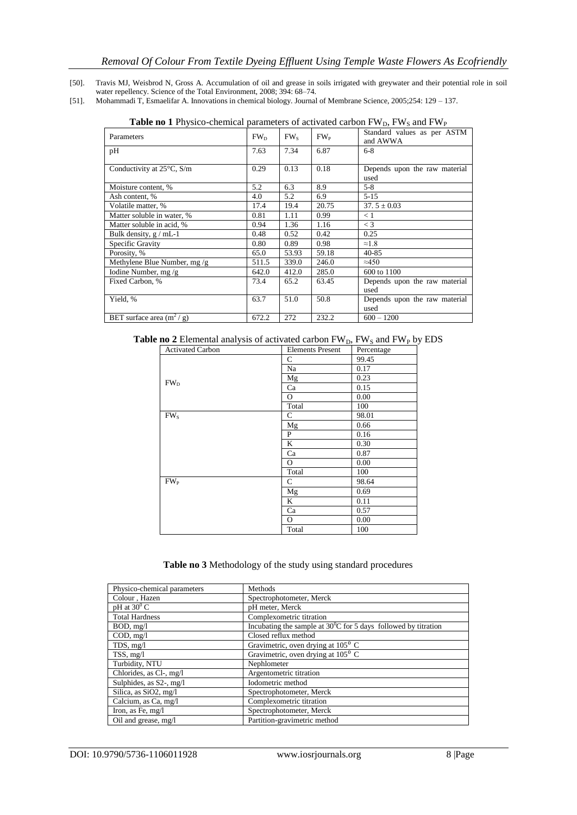- [50]. Travis MJ, Weisbrod N, Gross A. Accumulation of oil and grease in soils irrigated with greywater and their potential role in soil water repellency. Science of the Total Environment, 2008; 394: 68–74.
- [51]. Mohammadi T, Esmaelifar A. Innovations in chemical biology. Journal of Membrane Science, 2005;254: 129 137.

|                                     |                 |                 |          | $\mathbf{L}$                            |
|-------------------------------------|-----------------|-----------------|----------|-----------------------------------------|
| Parameters                          | FW <sub>D</sub> | FW <sub>s</sub> | $FW_{P}$ | Standard values as per ASTM<br>and AWWA |
| pH                                  | 7.63            | 7.34            | 6.87     | $6 - 8$                                 |
| Conductivity at $25^{\circ}$ C, S/m | 0.29            | 0.13            | 0.18     | Depends upon the raw material<br>used   |
| Moisture content, %                 | 5.2             | 6.3             | 8.9      | $5 - 8$                                 |
| Ash content, %                      | 4.0             | 5.2             | 6.9      | $5-15$                                  |
| Volatile matter, %                  | 17.4            | 19.4            | 20.75    | $37.5 \pm 0.03$                         |
| Matter soluble in water, %          | 0.81            | 1.11            | 0.99     | < 1                                     |
| Matter soluble in acid, %           | 0.94            | 1.36            | 1.16     | $\lt$ 3                                 |
| Bulk density, $g$ / mL-1            | 0.48            | 0.52            | 0.42     | 0.25                                    |
| Specific Gravity                    | 0.80            | 0.89            | 0.98     | $\approx 1.8$                           |
| Porosity, %                         | 65.0            | 53.93           | 59.18    | $40 - 85$                               |
| Methylene Blue Number, mg /g        | 511.5           | 339.0           | 246.0    | $\approx 450$                           |
| Iodine Number, mg /g                | 642.0           | 412.0           | 285.0    | 600 to 1100                             |
| Fixed Carbon, %                     | 73.4            | 65.2            | 63.45    | Depends upon the raw material<br>used   |
| Yield, %                            | 63.7            | 51.0            | 50.8     | Depends upon the raw material<br>used   |
| BET surface area $(m^2/g)$          | 672.2           | 272             | 232.2    | $600 - 1200$                            |

**Table no 1** Physico-chemical parameters of activated carbon  $FW<sub>D</sub>$ ,  $FW<sub>S</sub>$  and  $FW<sub>P</sub>$ 

Table no 2 Elemental analysis of activated carbon FW<sub>D</sub>, FW<sub>S</sub> and FW<sub>P</sub> by EDS

| <b>Activated Carbon</b> | <b>Elements Present</b> | Percentage |
|-------------------------|-------------------------|------------|
|                         | $\mathbf C$             | 99.45      |
|                         | Na                      | 0.17       |
| FW <sub>D</sub>         | Mg                      | 0.23       |
|                         | Ca                      | 0.15       |
|                         | $\overline{O}$          | 0.00       |
|                         | Total                   | 100        |
| FW <sub>s</sub>         | C                       | 98.01      |
|                         | Mg                      | 0.66       |
|                         | P                       | 0.16       |
|                         | K                       | 0.30       |
|                         | Ca                      | 0.87       |
|                         | $\Omega$                | 0.00       |
|                         | Total                   | 100        |
| FW <sub>P</sub>         | $\mathsf{C}$            | 98.64      |
|                         | Mg                      | 0.69       |
|                         | K                       | 0.11       |
|                         | Ca                      | 0.57       |
|                         | $\mathbf{O}$            | 0.00       |
|                         | Total                   | 100        |

# **Table no 3** Methodology of the study using standard procedures

| Physico-chemical parameters | Methods                                                                  |
|-----------------------------|--------------------------------------------------------------------------|
| Colour, Hazen               | Spectrophotometer, Merck                                                 |
| $pH$ at 30 $^{\circ}$ C     | pH meter, Merck                                                          |
| <b>Total Hardness</b>       | Complexometric titration                                                 |
| BOD, mg/l                   | Incubating the sample at $30^{\circ}$ C for 5 days followed by titration |
| COD, mg/l                   | Closed reflux method                                                     |
| TDS, mg/l                   | Gravimetric, oven drying at $105^{\circ}$ C                              |
| TSS, mg/l                   | Gravimetric, oven drying at $105^{\circ}$ C                              |
| Turbidity, NTU              | Nephlometer                                                              |
| Chlorides, as Cl-, mg/l     | Argentometric titration                                                  |
| Sulphides, as S2-, mg/l     | Iodometric method                                                        |
| Silica, as SiO2, mg/l       | Spectrophotometer, Merck                                                 |
| Calcium, as Ca, mg/l        | Complexometric titration                                                 |
| Iron, as Fe, mg/l           | Spectrophotometer, Merck                                                 |
| Oil and grease, mg/l        | Partition-gravimetric method                                             |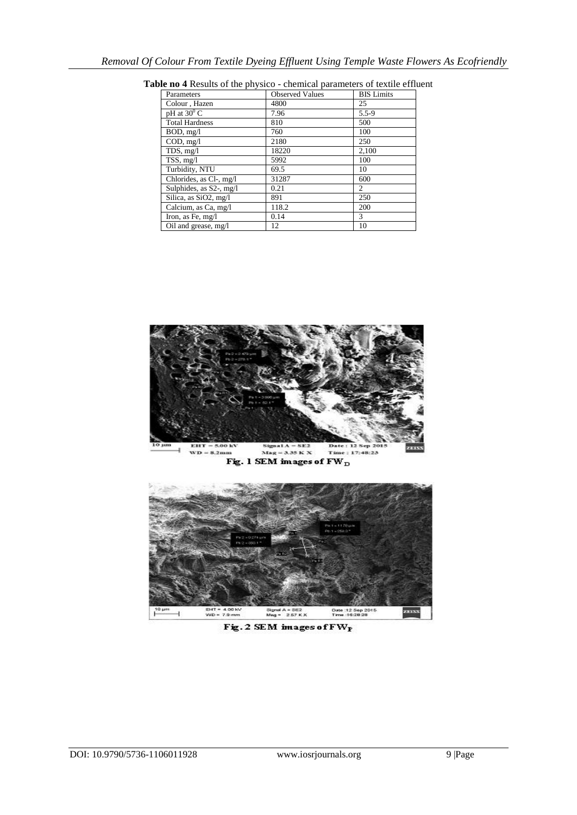| Parameters              | <b>Observed Values</b> | <b>BIS</b> Limits |
|-------------------------|------------------------|-------------------|
| Colour, Hazen           | 4800                   | 25                |
| pH at $30^{\circ}$ C    | 7.96                   | $5.5 - 9$         |
| <b>Total Hardness</b>   | 810                    | 500               |
| BOD, mg/l               | 760                    | 100               |
| COD, mg/l               | 2180                   | 250               |
| TDS, mg/l               | 18220                  | 2,100             |
| TSS, mg/l               | 5992                   | 100               |
| Turbidity, NTU          | 69.5                   | 10                |
| Chlorides, as Cl-, mg/l | 31287                  | 600               |
| Sulphides, as S2-, mg/l | 0.21                   | 2                 |
| Silica, as SiO2, mg/l   | 891                    | 250               |
| Calcium, as Ca, mg/l    | 118.2                  | 200               |
| Iron, as Fe, mg/l       | 0.14                   | 3                 |
| Oil and grease, mg/l    | 12                     | 10                |

**Table no 4** Results of the physico - chemical parameters of textile effluent



Signal A = SE2<br>Mag = 257 K X Fig. 2 SEM images of FW<sub>P</sub>

EHT = 4.00 KV<br>WD = 7.9 mm

a,

Date: 12 Sep 2015<br>Time: 16:28:28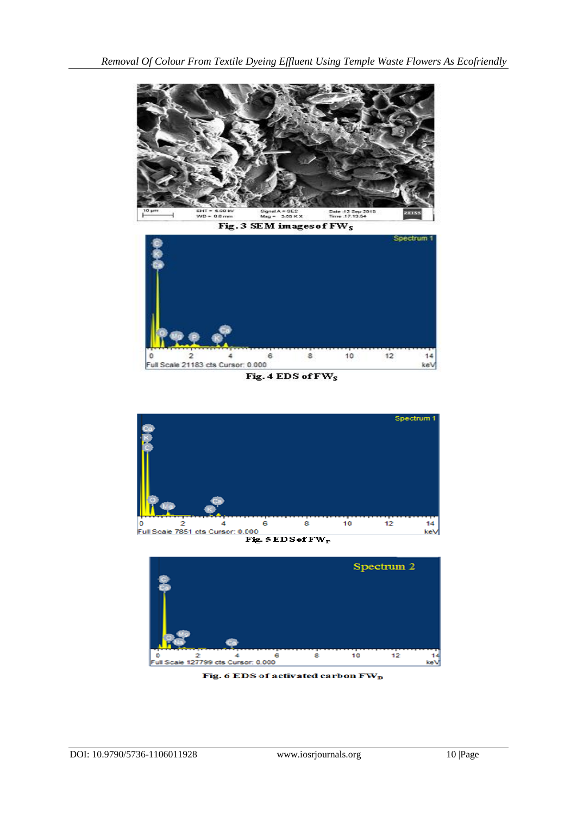

Fig. 3 SEM images of FW<sub>S</sub>



Fig. 4 EDS of FW<sub>S</sub>





Fig. 6 EDS of activated carbon  $\rm{FW}_{D}$